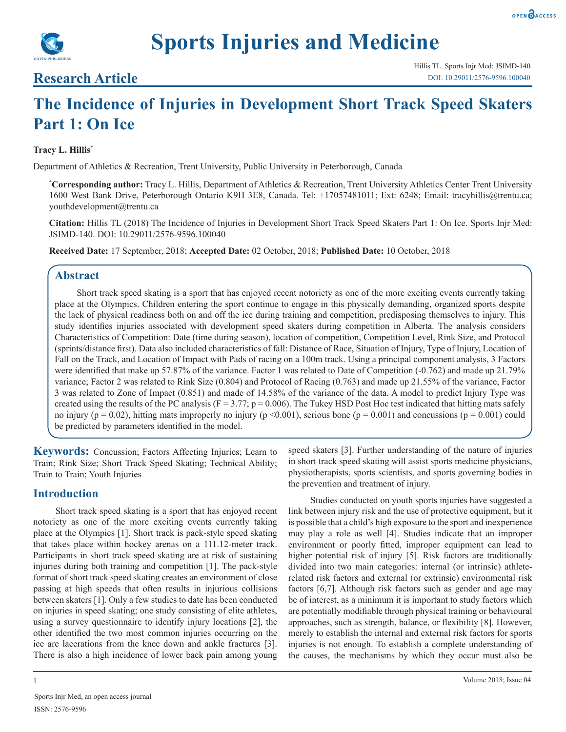

## **Research Article**

# **The Incidence of Injuries in Development Short Track Speed Skaters Part 1: On Ice**

#### **Tracy L. Hillis\***

Department of Athletics & Recreation, Trent University, Public University in Peterborough, Canada

**\* Corresponding author:** Tracy L. Hillis, Department of Athletics & Recreation, Trent University Athletics Center Trent University 1600 West Bank Drive, Peterborough Ontario K9H 3E8, Canada. Tel: +17057481011; Ext: 6248; Email: tracyhillis@trentu.ca; youthdevelopment@trentu.ca

**Citation:** Hillis TL (2018) The Incidence of Injuries in Development Short Track Speed Skaters Part 1: On Ice. Sports Injr Med: JSIMD-140. DOI: 10.29011/2576-9596.100040

**Received Date:** 17 September, 2018; **Accepted Date:** 02 October, 2018; **Published Date:** 10 October, 2018

### **Abstract**

Short track speed skating is a sport that has enjoyed recent notoriety as one of the more exciting events currently taking place at the Olympics. Children entering the sport continue to engage in this physically demanding, organized sports despite the lack of physical readiness both on and off the ice during training and competition, predisposing themselves to injury. This study identifies injuries associated with development speed skaters during competition in Alberta. The analysis considers Characteristics of Competition: Date (time during season), location of competition, Competition Level, Rink Size, and Protocol (sprints/distance first). Data also included characteristics of fall: Distance of Race, Situation of Injury, Type of Injury, Location of Fall on the Track, and Location of Impact with Pads of racing on a 100m track. Using a principal component analysis, 3 Factors were identified that make up 57.87% of the variance. Factor 1 was related to Date of Competition (-0.762) and made up 21.79% variance; Factor 2 was related to Rink Size (0.804) and Protocol of Racing (0.763) and made up 21.55% of the variance, Factor 3 was related to Zone of Impact (0.851) and made of 14.58% of the variance of the data. A model to predict Injury Type was created using the results of the PC analysis ( $F = 3.77$ ;  $p = 0.006$ ). The Tukey HSD Post Hoc test indicated that hitting mats safely no injury ( $p = 0.02$ ), hitting mats improperly no injury ( $p \le 0.001$ ), serious bone ( $p = 0.001$ ) and concussions ( $p = 0.001$ ) could be predicted by parameters identified in the model.

**Keywords:** Concussion; Factors Affecting Injuries; Learn to Train; Rink Size; Short Track Speed Skating; Technical Ability; Train to Train; Youth Injuries

## **Introduction**

Short track speed skating is a sport that has enjoyed recent notoriety as one of the more exciting events currently taking place at the Olympics [1]. Short track is pack-style speed skating that takes place within hockey arenas on a 111.12-meter track. Participants in short track speed skating are at risk of sustaining injuries during both training and competition [1]. The pack-style format of short track speed skating creates an environment of close passing at high speeds that often results in injurious collisions between skaters [1]. Only a few studies to date has been conducted on injuries in speed skating; one study consisting of elite athletes, using a survey questionnaire to identify injury locations [2], the other identified the two most common injuries occurring on the ice are lacerations from the knee down and ankle fractures [3]. There is also a high incidence of lower back pain among young speed skaters [3]. Further understanding of the nature of injuries in short track speed skating will assist sports medicine physicians, physiotherapists, sports scientists, and sports governing bodies in the prevention and treatment of injury.

Studies conducted on youth sports injuries have suggested a link between injury risk and the use of protective equipment, but it is possible that a child's high exposure to the sport and inexperience may play a role as well [4]. Studies indicate that an improper environment or poorly fitted, improper equipment can lead to higher potential risk of injury [5]. Risk factors are traditionally divided into two main categories: internal (or intrinsic) athleterelated risk factors and external (or extrinsic) environmental risk factors [6,7]. Although risk factors such as gender and age may be of interest, as a minimum it is important to study factors which are potentially modifiable through physical training or behavioural approaches, such as strength, balance, or flexibility [8]. However, merely to establish the internal and external risk factors for sports injuries is not enough. To establish a complete understanding of the causes, the mechanisms by which they occur must also be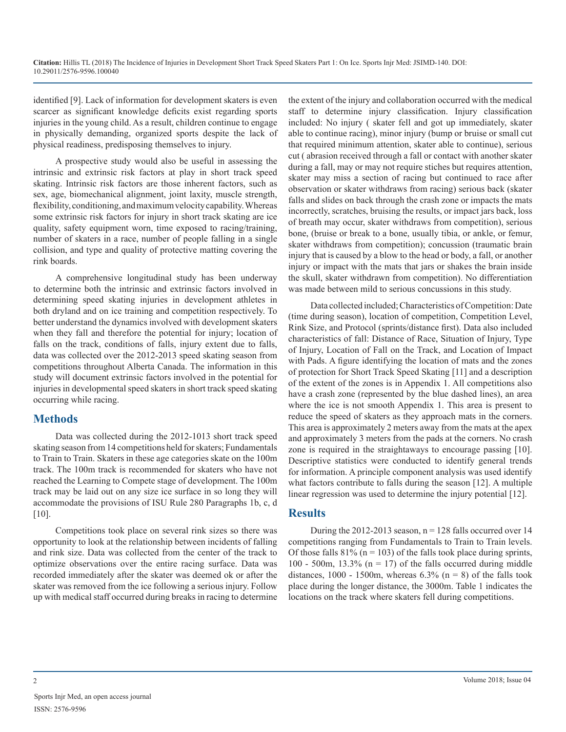identified [9]. Lack of information for development skaters is even scarcer as significant knowledge deficits exist regarding sports injuries in the young child. As a result, children continue to engage in physically demanding, organized sports despite the lack of physical readiness, predisposing themselves to injury.

A prospective study would also be useful in assessing the intrinsic and extrinsic risk factors at play in short track speed skating. Intrinsic risk factors are those inherent factors, such as sex, age, biomechanical alignment, joint laxity, muscle strength, flexibility, conditioning, and maximum velocity capability. Whereas some extrinsic risk factors for injury in short track skating are ice quality, safety equipment worn, time exposed to racing/training, number of skaters in a race, number of people falling in a single collision, and type and quality of protective matting covering the rink boards.

A comprehensive longitudinal study has been underway to determine both the intrinsic and extrinsic factors involved in determining speed skating injuries in development athletes in both dryland and on ice training and competition respectively. To better understand the dynamics involved with development skaters when they fall and therefore the potential for injury; location of falls on the track, conditions of falls, injury extent due to falls, data was collected over the 2012-2013 speed skating season from competitions throughout Alberta Canada. The information in this study will document extrinsic factors involved in the potential for injuries in developmental speed skaters in short track speed skating occurring while racing.

## **Methods**

Data was collected during the 2012-1013 short track speed skating season from 14 competitions held for skaters; Fundamentals to Train to Train. Skaters in these age categories skate on the 100m track. The 100m track is recommended for skaters who have not reached the Learning to Compete stage of development. The 100m track may be laid out on any size ice surface in so long they will accommodate the provisions of ISU Rule 280 Paragraphs 1b, c, d [10].

Competitions took place on several rink sizes so there was opportunity to look at the relationship between incidents of falling and rink size. Data was collected from the center of the track to optimize observations over the entire racing surface. Data was recorded immediately after the skater was deemed ok or after the skater was removed from the ice following a serious injury. Follow up with medical staff occurred during breaks in racing to determine

the extent of the injury and collaboration occurred with the medical staff to determine injury classification. Injury classification included: No injury ( skater fell and got up immediately, skater able to continue racing), minor injury (bump or bruise or small cut that required minimum attention, skater able to continue), serious cut ( abrasion received through a fall or contact with another skater during a fall, may or may not require stiches but requires attention, skater may miss a section of racing but continued to race after observation or skater withdraws from racing) serious back (skater falls and slides on back through the crash zone or impacts the mats incorrectly, scratches, bruising the results, or impact jars back, loss of breath may occur, skater withdraws from competition), serious bone, (bruise or break to a bone, usually tibia, or ankle, or femur, skater withdraws from competition); concussion (traumatic [brain](http://www.webmd.com/brain/picture-of-the-brain) injury that is caused by a blow to the head or body, a fall, or another injury or impact with the mats that jars or shakes the brain inside the skull, skater withdrawn from competition). No differentiation was made between mild to serious concussions in this study.

Data collected included; Characteristics of Competition: Date (time during season), location of competition, Competition Level, Rink Size, and Protocol (sprints/distance first). Data also included characteristics of fall: Distance of Race, Situation of Injury, Type of Injury, Location of Fall on the Track, and Location of Impact with Pads. A figure identifying the location of mats and the zones of protection for Short Track Speed Skating [11] and a description of the extent of the zones is in Appendix 1. All competitions also have a crash zone (represented by the blue dashed lines), an area where the ice is not smooth Appendix 1. This area is present to reduce the speed of skaters as they approach mats in the corners. This area is approximately 2 meters away from the mats at the apex and approximately 3 meters from the pads at the corners. No crash zone is required in the straightaways to encourage passing [10]. Descriptive statistics were conducted to identify general trends for information. A principle component analysis was used identify what factors contribute to falls during the season [12]. A multiple linear regression was used to determine the injury potential [12].

## **Results**

During the 2012-2013 season,  $n = 128$  falls occurred over 14 competitions ranging from Fundamentals to Train to Train levels. Of those falls  $81\%$  (n = 103) of the falls took place during sprints, 100 - 500m, 13.3% ( $n = 17$ ) of the falls occurred during middle distances,  $1000 - 1500$ m, whereas  $6.3\%$  (n = 8) of the falls took place during the longer distance, the 3000m. Table 1 indicates the locations on the track where skaters fell during competitions.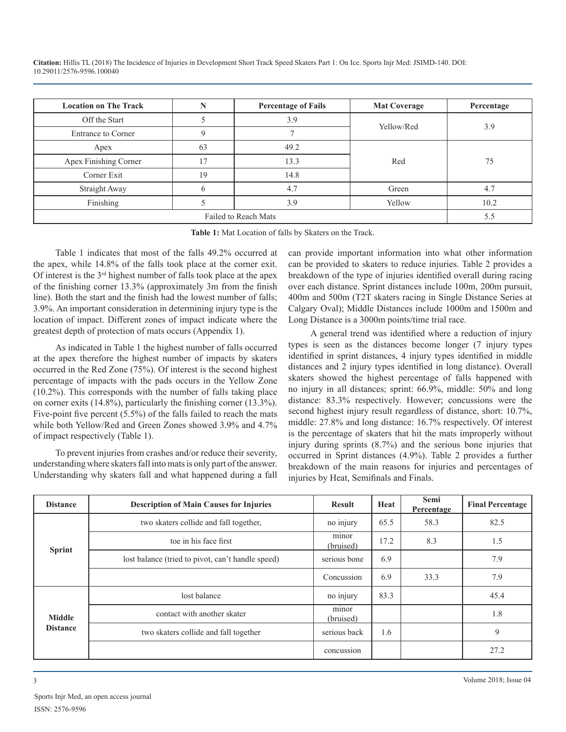| <b>Location on The Track</b> | N   | <b>Percentage of Fails</b> | <b>Mat Coverage</b> | Percentage |  |
|------------------------------|-----|----------------------------|---------------------|------------|--|
| Off the Start                |     | 3.9                        | Yellow/Red          |            |  |
| <b>Entrance to Corner</b>    | q   |                            |                     | 3.9        |  |
| Apex                         | 63  | 49.2                       |                     | 75         |  |
| Apex Finishing Corner        | 17  | 13.3                       | Red                 |            |  |
| Corner Exit                  | 19  | 14.8                       |                     |            |  |
| Straight Away                | 6   | 4.7                        | Green               | 4.7        |  |
| Finishing                    |     | 3.9                        | Yellow              | 10.2       |  |
|                              | 5.5 |                            |                     |            |  |

**Table 1:** Mat Location of falls by Skaters on the Track.

Table 1 indicates that most of the falls 49.2% occurred at the apex, while 14.8% of the falls took place at the corner exit. Of interest is the 3rd highest number of falls took place at the apex of the finishing corner 13.3% (approximately 3m from the finish line). Both the start and the finish had the lowest number of falls; 3.9%. An important consideration in determining injury type is the location of impact. Different zones of impact indicate where the greatest depth of protection of mats occurs (Appendix 1).

As indicated in Table 1 the highest number of falls occurred at the apex therefore the highest number of impacts by skaters occurred in the Red Zone (75%). Of interest is the second highest percentage of impacts with the pads occurs in the Yellow Zone (10.2%). This corresponds with the number of falls taking place on corner exits (14.8%), particularly the finishing corner (13.3%). Five-point five percent (5.5%) of the falls failed to reach the mats while both Yellow/Red and Green Zones showed 3.9% and 4.7% of impact respectively (Table 1).

To prevent injuries from crashes and/or reduce their severity, understanding where skaters fall into mats is only part of the answer. Understanding why skaters fall and what happened during a fall

can provide important information into what other information can be provided to skaters to reduce injuries. Table 2 provides a breakdown of the type of injuries identified overall during racing over each distance. Sprint distances include 100m, 200m pursuit, 400m and 500m (T2T skaters racing in Single Distance Series at Calgary Oval); Middle Distances include 1000m and 1500m and Long Distance is a 3000m points/time trial race.

A general trend was identified where a reduction of injury types is seen as the distances become longer (7 injury types identified in sprint distances, 4 injury types identified in middle distances and 2 injury types identified in long distance). Overall skaters showed the highest percentage of falls happened with no injury in all distances; sprint: 66.9%, middle: 50% and long distance: 83.3% respectively. However; concussions were the second highest injury result regardless of distance, short: 10.7%, middle: 27.8% and long distance: 16.7% respectively. Of interest is the percentage of skaters that hit the mats improperly without injury during sprints (8.7%) and the serious bone injuries that occurred in Sprint distances (4.9%). Table 2 provides a further breakdown of the main reasons for injuries and percentages of injuries by Heat, Semifinals and Finals.

| <b>Distance</b>           | <b>Description of Main Causes for Injuries</b>    | <b>Result</b>      | Heat | Semi<br>Percentage | <b>Final Percentage</b> |
|---------------------------|---------------------------------------------------|--------------------|------|--------------------|-------------------------|
| <b>Sprint</b>             | two skaters collide and fall together.            | no injury          | 65.5 | 58.3               | 82.5                    |
|                           | toe in his face first                             | minor<br>(bruised) | 17.2 | 8.3                | 1.5                     |
|                           | lost balance (tried to pivot, can't handle speed) | serious bone       | 6.9  |                    | 7.9                     |
|                           |                                                   | Concussion         | 6.9  | 33.3               | 7.9                     |
| Middle<br><b>Distance</b> | lost balance                                      | no injury          | 83.3 |                    | 45.4                    |
|                           | contact with another skater                       | minor<br>(bruised) |      |                    | 1.8                     |
|                           | two skaters collide and fall together             | serious back       | 1.6  |                    | 9                       |
|                           |                                                   | concussion         |      |                    | 27.2                    |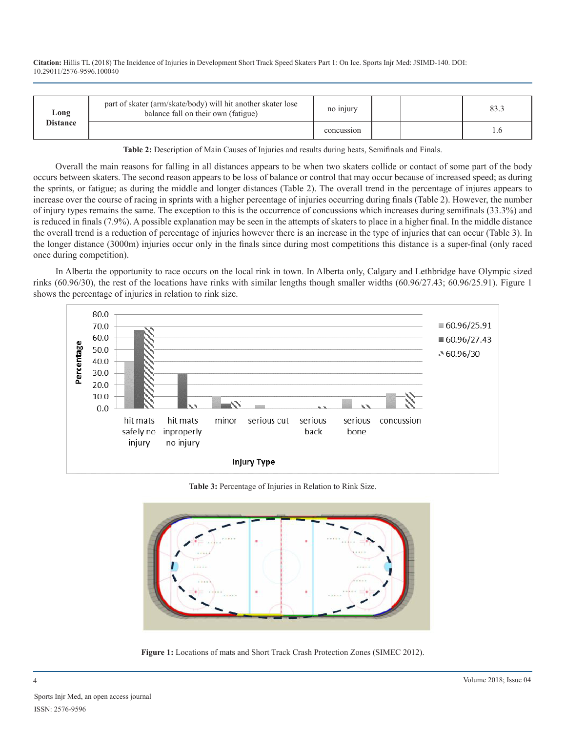| Long<br><b>Distance</b> | part of skater (arm/skate/body) will hit another skater lose<br>balance fall on their own (fatigue) | no injury  |  |  |
|-------------------------|-----------------------------------------------------------------------------------------------------|------------|--|--|
|                         |                                                                                                     | concussion |  |  |

**Table 2:** Description of Main Causes of Injuries and results during heats, Semifinals and Finals.

Overall the main reasons for falling in all distances appears to be when two skaters collide or contact of some part of the body occurs between skaters. The second reason appears to be loss of balance or control that may occur because of increased speed; as during the sprints, or fatigue; as during the middle and longer distances (Table 2). The overall trend in the percentage of injures appears to increase over the course of racing in sprints with a higher percentage of injuries occurring during finals (Table 2). However, the number of injury types remains the same. The exception to this is the occurrence of concussions which increases during semifinals (33.3%) and is reduced in finals (7.9%). A possible explanation may be seen in the attempts of skaters to place in a higher final. In the middle distance the overall trend is a reduction of percentage of injuries however there is an increase in the type of injuries that can occur (Table 3). In the longer distance (3000m) injuries occur only in the finals since during most competitions this distance is a super-final (only raced once during competition).

In Alberta the opportunity to race occurs on the local rink in town. In Alberta only, Calgary and Lethbridge have Olympic sized rinks (60.96/30), the rest of the locations have rinks with similar lengths though smaller widths (60.96/27.43; 60.96/25.91). Figure 1 shows the percentage of injuries in relation to rink size.



**Table 3:** Percentage of Injuries in Relation to Rink Size.



**Figure 1:** Locations of mats and Short Track Crash Protection Zones (SIMEC 2012).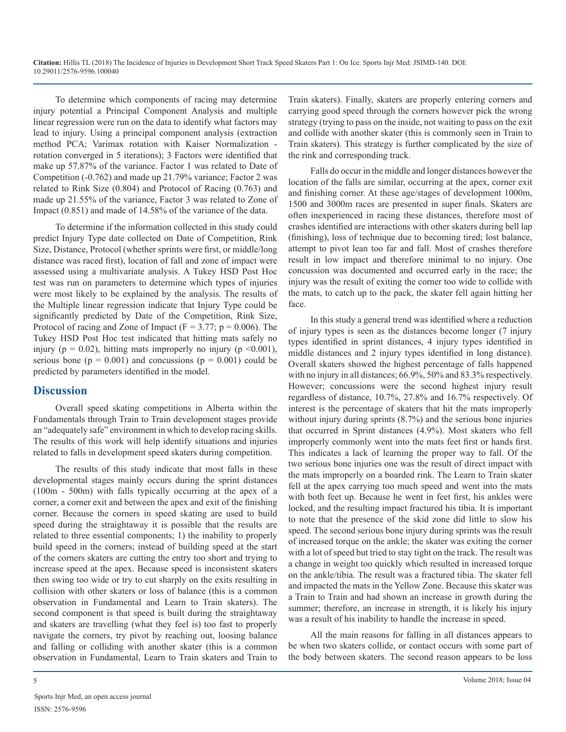To determine which components of racing may determine injury potential a Principal Component Analysis and multiple linear regression were run on the data to identify what factors may lead to injury. Using a principal component analysis (extraction method PCA; Varimax rotation with Kaiser Normalization rotation converged in 5 iterations); 3 Factors were identified that make up 57.87% of the variance. Factor 1 was related to Date of Competition (-0.762) and made up 21.79% variance; Factor 2 was related to Rink Size (0.804) and Protocol of Racing (0.763) and made up 21.55% of the variance, Factor 3 was related to Zone of Impact (0.851) and made of 14.58% of the variance of the data.

To determine if the information collected in this study could predict Injury Type date collected on Date of Competition, Rink Size, Distance, Protocol (whether sprints were first, or middle/long distance was raced first), location of fall and zone of impact were assessed using a multivariate analysis. A Tukey HSD Post Hoc test was run on parameters to determine which types of injuries were most likely to be explained by the analysis. The results of the Multiple linear regression indicate that Injury Type could be significantly predicted by Date of the Competition, Rink Size, Protocol of racing and Zone of Impact ( $F = 3.77$ ;  $p = 0.006$ ). The Tukey HSD Post Hoc test indicated that hitting mats safely no injury ( $p = 0.02$ ), hitting mats improperly no injury ( $p \le 0.001$ ), serious bone ( $p = 0.001$ ) and concussions ( $p = 0.001$ ) could be predicted by parameters identified in the model.

## **Discussion**

Overall speed skating competitions in Alberta within the Fundamentals through Train to Train development stages provide an "adequately safe" environment in which to develop racing skills. The results of this work will help identify situations and injuries related to falls in development speed skaters during competition.

The results of this study indicate that most falls in these developmental stages mainly occurs during the sprint distances (100m - 500m) with falls typically occurring at the apex of a corner, a corner exit and between the apex and exit of the finishing corner. Because the corners in speed skating are used to build speed during the straightaway it is possible that the results are related to three essential components; 1) the inability to properly build speed in the corners; instead of building speed at the start of the corners skaters are cutting the entry too short and trying to increase speed at the apex. Because speed is inconsistent skaters then swing too wide or try to cut sharply on the exits resulting in collision with other skaters or loss of balance (this is a common observation in Fundamental and Learn to Train skaters). The second component is that speed is built during the straightaway and skaters are travelling (what they feel is) too fast to properly navigate the corners, try pivot by reaching out, loosing balance and falling or colliding with another skater (this is a common observation in Fundamental, Learn to Train skaters and Train to Train skaters). Finally, skaters are properly entering corners and carrying good speed through the corners however pick the wrong strategy (trying to pass on the inside, not waiting to pass on the exit and collide with another skater (this is commonly seen in Train to Train skaters). This strategy is further complicated by the size of the rink and corresponding track.

Falls do occur in the middle and longer distances however the location of the falls are similar, occurring at the apex, corner exit and finishing corner. At these age/stages of development 1000m, 1500 and 3000m races are presented in super finals. Skaters are often inexperienced in racing these distances, therefore most of crashes identified are interactions with other skaters during bell lap (finishing), loss of technique due to becoming tired; lost balance, attempt to pivot lean too far and fall. Most of crashes therefore result in low impact and therefore minimal to no injury. One concussion was documented and occurred early in the race; the injury was the result of exiting the corner too wide to collide with the mats, to catch up to the pack, the skater fell again hitting her face.

In this study a general trend was identified where a reduction of injury types is seen as the distances become longer (7 injury types identified in sprint distances, 4 injury types identified in middle distances and 2 injury types identified in long distance). Overall skaters showed the highest percentage of falls happened with no injury in all distances; 66.9%, 50% and 83.3% respectively. However; concussions were the second highest injury result regardless of distance, 10.7%, 27.8% and 16.7% respectively. Of interest is the percentage of skaters that hit the mats improperly without injury during sprints  $(8.7%)$  and the serious bone injuries that occurred in Sprint distances (4.9%). Most skaters who fell improperly commonly went into the mats feet first or hands first. This indicates a lack of learning the proper way to fall. Of the two serious bone injuries one was the result of direct impact with the mats improperly on a boarded rink. The Learn to Train skater fell at the apex carrying too much speed and went into the mats with both feet up. Because he went in feet first, his ankles were locked, and the resulting impact fractured his tibia. It is important to note that the presence of the skid zone did little to slow his speed. The second serious bone injury during sprints was the result of increased torque on the ankle; the skater was exiting the corner with a lot of speed but tried to stay tight on the track. The result was a change in weight too quickly which resulted in increased torque on the ankle/tibia. The result was a fractured tibia. The skater fell and impacted the mats in the Yellow Zone. Because this skater was a Train to Train and had shown an increase in growth during the summer; therefore, an increase in strength, it is likely his injury was a result of his inability to handle the increase in speed.

All the main reasons for falling in all distances appears to be when two skaters collide, or contact occurs with some part of the body between skaters. The second reason appears to be loss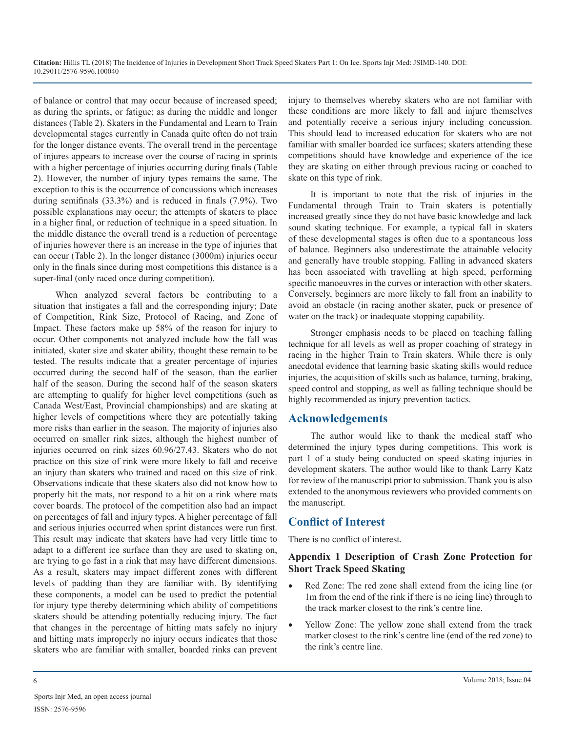of balance or control that may occur because of increased speed; as during the sprints, or fatigue; as during the middle and longer distances (Table 2). Skaters in the Fundamental and Learn to Train developmental stages currently in Canada quite often do not train for the longer distance events. The overall trend in the percentage of injures appears to increase over the course of racing in sprints with a higher percentage of injuries occurring during finals (Table 2). However, the number of injury types remains the same. The exception to this is the occurrence of concussions which increases during semifinals (33.3%) and is reduced in finals (7.9%). Two possible explanations may occur; the attempts of skaters to place in a higher final, or reduction of technique in a speed situation. In the middle distance the overall trend is a reduction of percentage of injuries however there is an increase in the type of injuries that can occur (Table 2). In the longer distance (3000m) injuries occur only in the finals since during most competitions this distance is a super-final (only raced once during competition).

When analyzed several factors be contributing to a situation that instigates a fall and the corresponding injury; Date of Competition, Rink Size, Protocol of Racing, and Zone of Impact. These factors make up 58% of the reason for injury to occur. Other components not analyzed include how the fall was initiated, skater size and skater ability, thought these remain to be tested. The results indicate that a greater percentage of injuries occurred during the second half of the season, than the earlier half of the season. During the second half of the season skaters are attempting to qualify for higher level competitions (such as Canada West/East, Provincial championships) and are skating at higher levels of competitions where they are potentially taking more risks than earlier in the season. The majority of injuries also occurred on smaller rink sizes, although the highest number of injuries occurred on rink sizes 60.96/27.43. Skaters who do not practice on this size of rink were more likely to fall and receive an injury than skaters who trained and raced on this size of rink. Observations indicate that these skaters also did not know how to properly hit the mats, nor respond to a hit on a rink where mats cover boards. The protocol of the competition also had an impact on percentages of fall and injury types. A higher percentage of fall and serious injuries occurred when sprint distances were run first. This result may indicate that skaters have had very little time to adapt to a different ice surface than they are used to skating on, are trying to go fast in a rink that may have different dimensions. As a result, skaters may impact different zones with different levels of padding than they are familiar with. By identifying these components, a model can be used to predict the potential for injury type thereby determining which ability of competitions skaters should be attending potentially reducing injury. The fact that changes in the percentage of hitting mats safely no injury and hitting mats improperly no injury occurs indicates that those skaters who are familiar with smaller, boarded rinks can prevent

injury to themselves whereby skaters who are not familiar with these conditions are more likely to fall and injure themselves and potentially receive a serious injury including concussion. This should lead to increased education for skaters who are not familiar with smaller boarded ice surfaces; skaters attending these competitions should have knowledge and experience of the ice they are skating on either through previous racing or coached to skate on this type of rink.

It is important to note that the risk of injuries in the Fundamental through Train to Train skaters is potentially increased greatly since they do not have basic knowledge and lack sound skating technique. For example, a typical fall in skaters of these developmental stages is often due to a spontaneous loss of balance. Beginners also underestimate the attainable velocity and generally have trouble stopping. Falling in advanced skaters has been associated with travelling at high speed, performing specific manoeuvres in the curves or interaction with other skaters. Conversely, beginners are more likely to fall from an inability to avoid an obstacle (in racing another skater, puck or presence of water on the track) or inadequate stopping capability.

Stronger emphasis needs to be placed on teaching falling technique for all levels as well as proper coaching of strategy in racing in the higher Train to Train skaters. While there is only anecdotal evidence that learning basic skating skills would reduce injuries, the acquisition of skills such as balance, turning, braking, speed control and stopping, as well as falling technique should be highly recommended as injury prevention tactics.

## **Acknowledgements**

The author would like to thank the medical staff who determined the injury types during competitions. This work is part 1 of a study being conducted on speed skating injuries in development skaters. The author would like to thank Larry Katz for review of the manuscript prior to submission. Thank you is also extended to the anonymous reviewers who provided comments on the manuscript.

## **Conflict of Interest**

There is no conflict of interest.

#### **Appendix 1 Description of Crash Zone Protection for Short Track Speed Skating**

- Red Zone: The red zone shall extend from the icing line (or 1m from the end of the rink if there is no icing line) through to the track marker closest to the rink's centre line.
- Yellow Zone: The yellow zone shall extend from the track marker closest to the rink's centre line (end of the red zone) to the rink's centre line.